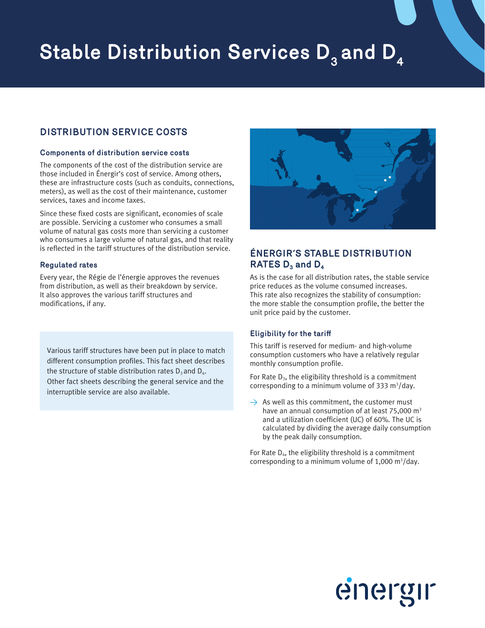# **Stable Distribution Services D<sub>3</sub> and D<sub>4</sub>**

## **DISTRIBUTION SERVICE COSTS**

### **Components of distribution service costs**

The components of the cost of the distribution service are those included in Énergir's cost of service. Among others, these are infrastructure costs (such as conduits, connections, meters), as well as the cost of their maintenance, customer services, taxes and income taxes.

Since these fixed costs are significant, economies of scale are possible. Servicing a customer who consumes a small volume of natural gas costs more than servicing a customer who consumes a large volume of natural gas, and that reality is reflected in the tariff structures of the distribution service.

## **Regulated rates**

Every year, the Régie de l'énergie approves the revenues from distribution, as well as their breakdown by service. It also approves the various tariff structures and modifications, if any.

Various tariff structures have been put in place to match different consumption profiles. This fact sheet describes the structure of stable distribution rates  $D_3$  and  $D_4$ . Other fact sheets describing the general service and the interruptible service are also available.



# **ÉNERGIR'S STABLE DISTRIBUTION RATES D<sub>3</sub> and D<sub>4</sub>**

As is the case for all distribution rates, the stable service price reduces as the volume consumed increases. This rate also recognizes the stability of consumption: the more stable the consumption profile, the better the unit price paid by the customer.

## **Eligibility for the tariff**

This tariff is reserved for medium- and high-volume consumption customers who have a relatively regular monthly consumption profile.

For Rate  $D_3$ , the eligibility threshold is a commitment corresponding to a minimum volume of 333  $m^3$ /day.

 $\rightarrow$  As well as this commitment, the customer must have an annual consumption of at least  $75,000$  m<sup>3</sup> and a utilization coefficient (UC) of 60%. The UC is calculated by dividing the average daily consumption by the peak daily consumption.

For Rate  $D_4$ , the eligibility threshold is a commitment corresponding to a minimum volume of  $1,000 \text{ m}^3/\text{day}$ .

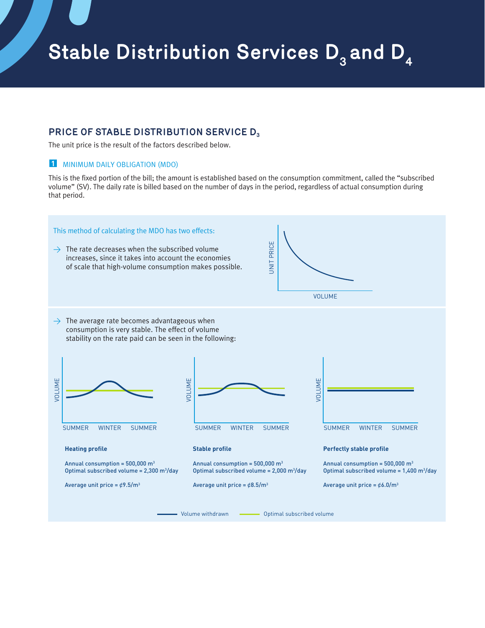## **PRICE OF STABLE DISTRIBUTION SERVICE D3**

The unit price is the result of the factors described below.

## **1** MINIMUM DAILY OBLIGATION (MDO)

This is the fixed portion of the bill; the amount is established based on the consumption commitment, called the "subscribed volume" (SV). The daily rate is billed based on the number of days in the period, regardless of actual consumption during that period.

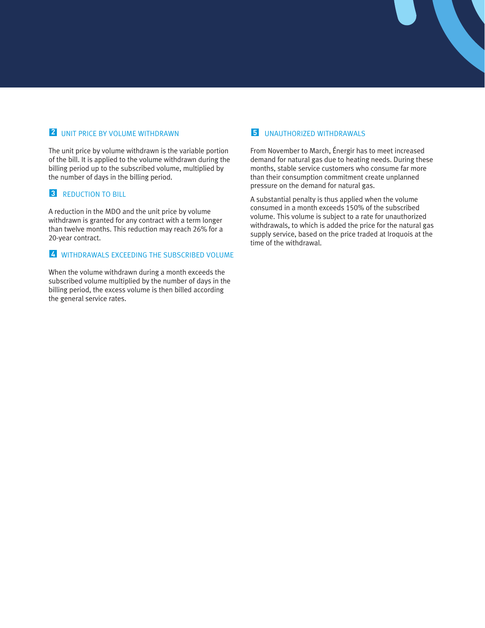## **2** UNIT PRICE BY VOLUME WITHDRAWN

The unit price by volume withdrawn is the variable portion of the bill. It is applied to the volume withdrawn during the billing period up to the subscribed volume, multiplied by the number of days in the billing period.

## **3** REDUCTION TO BILL

A reduction in the MDO and the unit price by volume withdrawn is granted for any contract with a term longer than twelve months. This reduction may reach 26% for a 20-year contract.

### **4** WITHDRAWALS EXCEEDING THE SUBSCRIBED VOLUME

When the volume withdrawn during a month exceeds the subscribed volume multiplied by the number of days in the billing period, the excess volume is then billed according the general service rates.

## **5** UNAUTHORIZED WITHDRAWALS

From November to March, Énergir has to meet increased demand for natural gas due to heating needs. During these months, stable service customers who consume far more than their consumption commitment create unplanned pressure on the demand for natural gas.

A substantial penalty is thus applied when the volume consumed in a month exceeds 150% of the subscribed volume. This volume is subject to a rate for unauthorized withdrawals, to which is added the price for the natural gas supply service, based on the price traded at Iroquois at the time of the withdrawal.